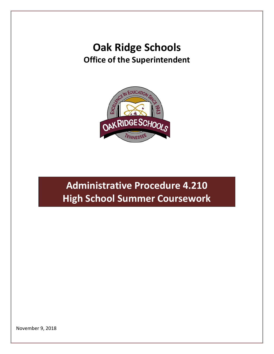## **Oak Ridge Schools Office of the Superintendent**



## **Administrative Procedure 4.210 High School Summer Coursework**

November 9, 2018